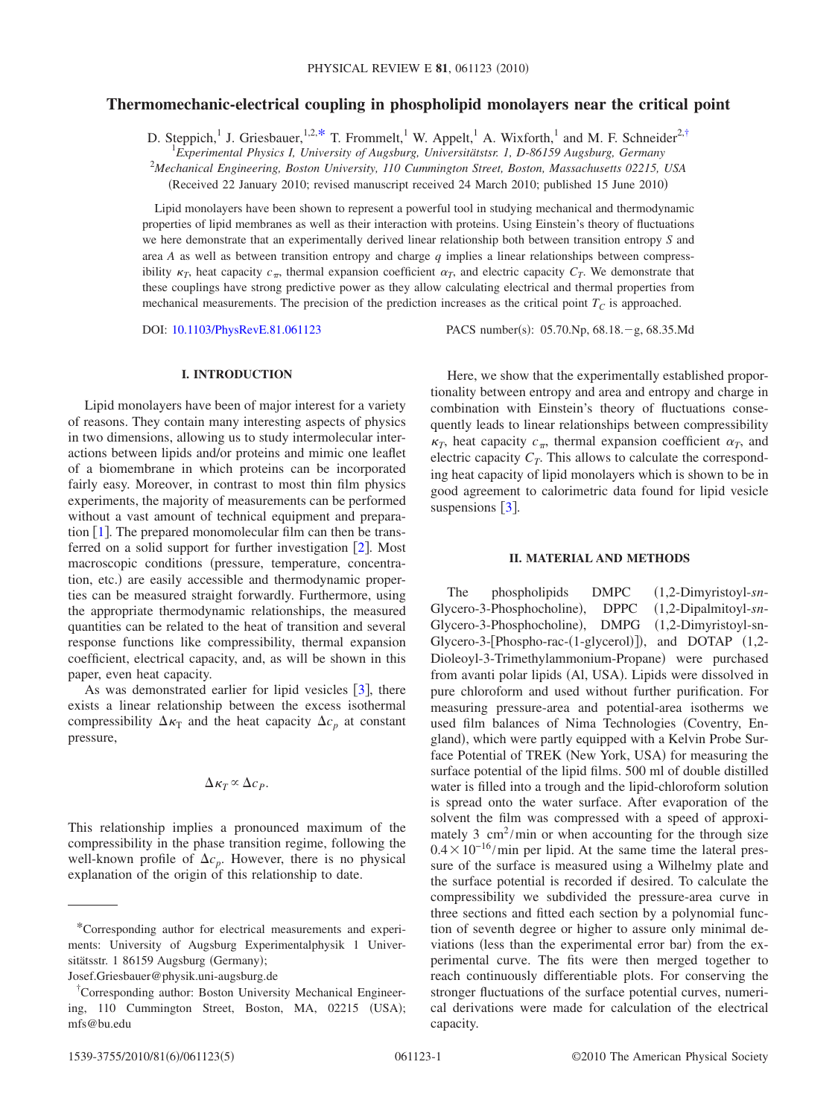## **Thermomechanic-electrical coupling in phospholipid monolayers near the critical point**

D. Steppich,<sup>1</sup> J. Griesbauer,<sup>1,2[,\\*](#page-0-0)</sup> T. Frommelt,<sup>1</sup> W. Appelt,<sup>1</sup> A. Wixforth,<sup>1</sup> and M. F. Schneider<sup>2[,†](#page-0-1)</sup>

1 *Experimental Physics I, University of Augsburg, Universitätstsr. 1, D-86159 Augsburg, Germany*

2 *Mechanical Engineering, Boston University, 110 Cummington Street, Boston, Massachusetts 02215, USA*

Received 22 January 2010; revised manuscript received 24 March 2010; published 15 June 2010-

Lipid monolayers have been shown to represent a powerful tool in studying mechanical and thermodynamic properties of lipid membranes as well as their interaction with proteins. Using Einstein's theory of fluctuations we here demonstrate that an experimentally derived linear relationship both between transition entropy *S* and area *A* as well as between transition entropy and charge *q* implies a linear relationships between compressibility  $\kappa_T$ , heat capacity  $c_{\pi}$ , thermal expansion coefficient  $\alpha_T$ , and electric capacity  $C_T$ . We demonstrate that these couplings have strong predictive power as they allow calculating electrical and thermal properties from mechanical measurements. The precision of the prediction increases as the critical point  $T_c$  is approached.

DOI: [10.1103/PhysRevE.81.061123](http://dx.doi.org/10.1103/PhysRevE.81.061123)

PACS number(s): 05.70.Np, 68.18. - g, 68.35.Md

## **I. INTRODUCTION**

Lipid monolayers have been of major interest for a variety of reasons. They contain many interesting aspects of physics in two dimensions, allowing us to study intermolecular interactions between lipids and/or proteins and mimic one leaflet of a biomembrane in which proteins can be incorporated fairly easy. Moreover, in contrast to most thin film physics experiments, the majority of measurements can be performed without a vast amount of technical equipment and preparation  $[1]$  $[1]$  $[1]$ . The prepared monomolecular film can then be transferred on a solid support for further investigation  $\lceil 2 \rceil$  $\lceil 2 \rceil$  $\lceil 2 \rceil$ . Most macroscopic conditions (pressure, temperature, concentration, etc.) are easily accessible and thermodynamic properties can be measured straight forwardly. Furthermore, using the appropriate thermodynamic relationships, the measured quantities can be related to the heat of transition and several response functions like compressibility, thermal expansion coefficient, electrical capacity, and, as will be shown in this paper, even heat capacity.

As was demonstrated earlier for lipid vesicles  $\lceil 3 \rceil$  $\lceil 3 \rceil$  $\lceil 3 \rceil$ , there exists a linear relationship between the excess isothermal compressibility  $\Delta \kappa_T$  and the heat capacity  $\Delta c_p$  at constant pressure,

# $\Delta \kappa_T \propto \Delta c_P$ .

This relationship implies a pronounced maximum of the compressibility in the phase transition regime, following the well-known profile of  $\Delta c_p$ . However, there is no physical explanation of the origin of this relationship to date.

Here, we show that the experimentally established proportionality between entropy and area and entropy and charge in combination with Einstein's theory of fluctuations consequently leads to linear relationships between compressibility  $\kappa_T$ , heat capacity  $c_{\pi}$ , thermal expansion coefficient  $\alpha_T$ , and electric capacity  $C_T$ . This allows to calculate the corresponding heat capacity of lipid monolayers which is shown to be in good agreement to calorimetric data found for lipid vesicle suspensions  $\lceil 3 \rceil$  $\lceil 3 \rceil$  $\lceil 3 \rceil$ .

#### **II. MATERIAL AND METHODS**

The phospholipids DMPC 1,2-Dimyristoyl-*sn*-Glycero-3-Phosphocholine), DPPC , DPPC 1,2-Dipalmitoyl-*sn*-Glycero-3-Phosphocholine), DMPG (1,2-Dimyristoyl-sn-Glycero-3-[Phospho-rac- $(1$ -glycerol)]), and DOTAP  $(1,2$ -Dioleoyl-3-Trimethylammonium-Propane) were purchased from avanti polar lipids (Al, USA). Lipids were dissolved in pure chloroform and used without further purification. For measuring pressure-area and potential-area isotherms we used film balances of Nima Technologies Coventry, England), which were partly equipped with a Kelvin Probe Surface Potential of TREK (New York, USA) for measuring the surface potential of the lipid films. 500 ml of double distilled water is filled into a trough and the lipid-chloroform solution is spread onto the water surface. After evaporation of the solvent the film was compressed with a speed of approximately 3  $\text{cm}^2/\text{min}$  or when accounting for the through size  $0.4 \times 10^{-16}$ /min per lipid. At the same time the lateral pressure of the surface is measured using a Wilhelmy plate and the surface potential is recorded if desired. To calculate the compressibility we subdivided the pressure-area curve in three sections and fitted each section by a polynomial function of seventh degree or higher to assure only minimal deviations (less than the experimental error bar) from the experimental curve. The fits were then merged together to reach continuously differentiable plots. For conserving the stronger fluctuations of the surface potential curves, numerical derivations were made for calculation of the electrical capacity.

<span id="page-0-0"></span><sup>\*</sup>Corresponding author for electrical measurements and experiments: University of Augsburg Experimentalphysik 1 Universitätsstr. 1 86159 Augsburg (Germany);

Josef.Griesbauer@physik.uni-augsburg.de

<span id="page-0-1"></span><sup>†</sup> Corresponding author: Boston University Mechanical Engineering, 110 Cummington Street, Boston, MA, 02215 (USA); mfs@bu.edu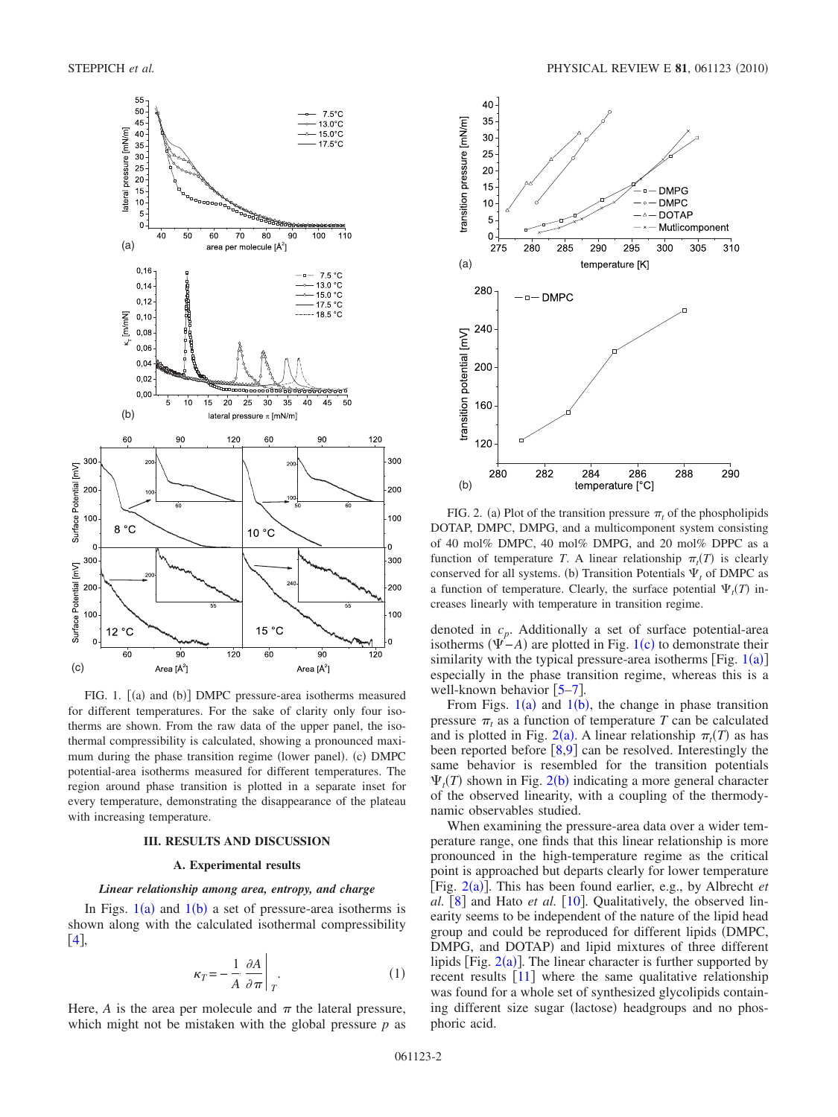<span id="page-1-0"></span>

FIG. 1. [(a) and (b)] DMPC pressure-area isotherms measured for different temperatures. For the sake of clarity only four isotherms are shown. From the raw data of the upper panel, the isothermal compressibility is calculated, showing a pronounced maximum during the phase transition regime (lower panel). (c) DMPC potential-area isotherms measured for different temperatures. The region around phase transition is plotted in a separate inset for every temperature, demonstrating the disappearance of the plateau with increasing temperature.

#### **III. RESULTS AND DISCUSSION**

## **A. Experimental results**

#### *Linear relationship among area, entropy, and charge*

In Figs.  $1(a)$  $1(a)$  and  $1(b)$  a set of pressure-area isotherms is shown along with the calculated isothermal compressibility  $[4]$  $[4]$  $[4]$ 

$$
\kappa_T = -\frac{1}{A} \left. \frac{\partial A}{\partial \pi} \right|_T.
$$
 (1)

Here,  $A$  is the area per molecule and  $\pi$  the lateral pressure, which might not be mistaken with the global pressure *p* as

<span id="page-1-1"></span>

FIG. 2. (a) Plot of the transition pressure  $\pi_t$  of the phospholipids DOTAP, DMPC, DMPG, and a multicomponent system consisting of 40 mol% DMPC, 40 mol% DMPG, and 20 mol% DPPC as a function of temperature *T*. A linear relationship  $\pi_t(T)$  is clearly conserved for all systems. (b) Transition Potentials  $\Psi_t$  of DMPC as a function of temperature. Clearly, the surface potential  $\Psi_t(T)$  increases linearly with temperature in transition regime.

denoted in *cp*. Additionally a set of surface potential-area isotherms  $(\Psi - A)$  are plotted in Fig. [1](#page-1-0)(c) to demonstrate their similarity with the typical pressure-area isotherms [Fig.  $1(a)$  $1(a)$ ] especially in the phase transition regime, whereas this is a well-known behavior  $[5-7]$  $[5-7]$  $[5-7]$ .

From Figs.  $1(a)$  $1(a)$  and  $1(b)$ , the change in phase transition pressure  $\pi_t$  as a function of temperature *T* can be calculated and is plotted in Fig. [2](#page-1-1)(a). A linear relationship  $\pi_t(T)$  as has been reported before  $\left[8,9\right]$  $\left[8,9\right]$  $\left[8,9\right]$  $\left[8,9\right]$  can be resolved. Interestingly the same behavior is resembled for the transition potentials  $\Psi_t(T)$  shown in Fig. [2](#page-1-1)(b) indicating a more general character of the observed linearity, with a coupling of the thermodynamic observables studied.

When examining the pressure-area data over a wider temperature range, one finds that this linear relationship is more pronounced in the high-temperature regime as the critical point is approached but departs clearly for lower temperature [Fig. [2](#page-1-1)(a)]. This has been found earlier, e.g., by Albrecht *et al.*  $\lceil 8 \rceil$  $\lceil 8 \rceil$  $\lceil 8 \rceil$  and Hato *et al.*  $\lceil 10 \rceil$  $\lceil 10 \rceil$  $\lceil 10 \rceil$ . Qualitatively, the observed linearity seems to be independent of the nature of the lipid head group and could be reproduced for different lipids DMPC, DMPG, and DOTAP) and lipid mixtures of three different lipids [Fig.  $2(a)$  $2(a)$ ]. The linear character is further supported by recent results  $[11]$  $[11]$  $[11]$  where the same qualitative relationship was found for a whole set of synthesized glycolipids containing different size sugar (lactose) headgroups and no phosphoric acid.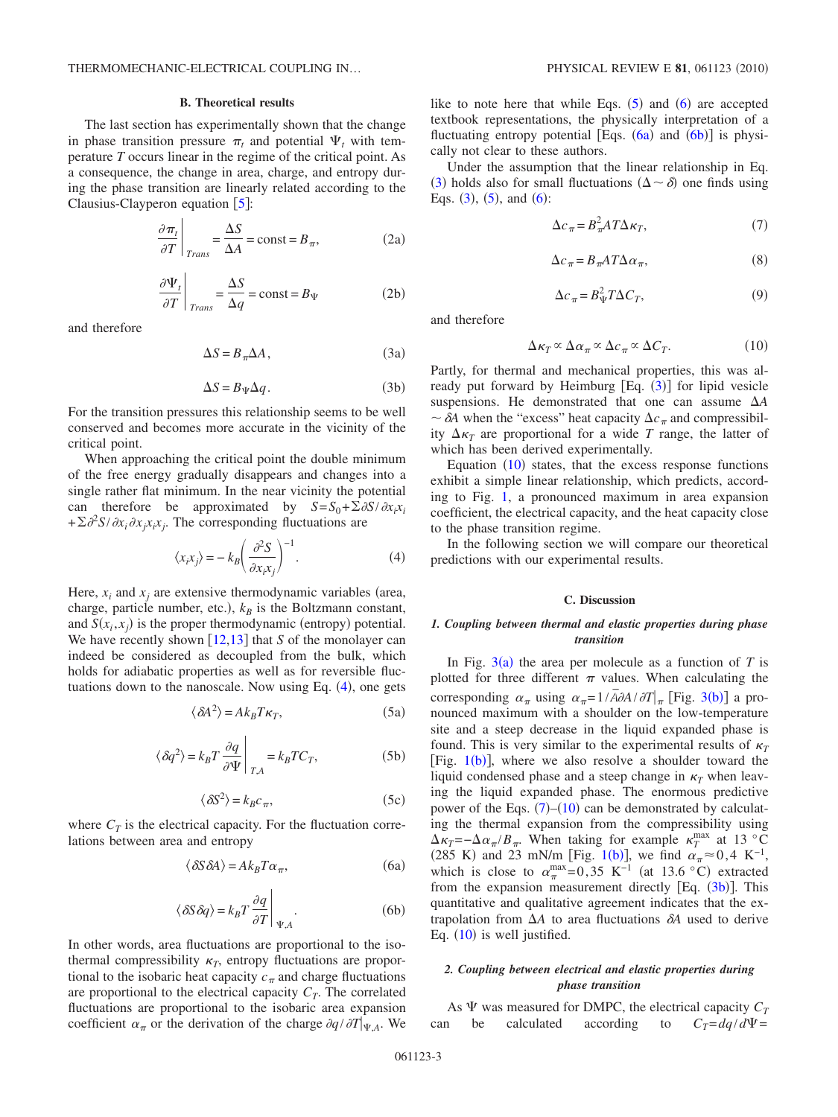#### **B. Theoretical results**

The last section has experimentally shown that the change in phase transition pressure  $\pi_t$  and potential  $\Psi_t$  with temperature *T* occurs linear in the regime of the critical point. As a consequence, the change in area, charge, and entropy during the phase transition are linearly related according to the Clausius-Clayperon equation  $[5]$  $[5]$  $[5]$ :

$$
\left. \frac{\partial \pi_t}{\partial T} \right|_{Trans} = \frac{\Delta S}{\Delta A} = \text{const} = B_\pi,
$$
\n(2a)

$$
\left. \frac{\partial \Psi_t}{\partial T} \right|_{Trans} = \frac{\Delta S}{\Delta q} = \text{const} = B_{\Psi} \tag{2b}
$$

<span id="page-2-8"></span><span id="page-2-4"></span>and therefore

$$
\Delta S = B_{\pi} \Delta A, \qquad (3a)
$$

$$
\Delta S = B_{\Psi} \Delta q. \tag{3b}
$$

<span id="page-2-7"></span>For the transition pressures this relationship seems to be well conserved and becomes more accurate in the vicinity of the critical point.

When approaching the critical point the double minimum of the free energy gradually disappears and changes into a single rather flat minimum. In the near vicinity the potential can therefore be approximated by  $S = S_0 + \sum \partial S / \partial x_i x_i$  $+\sum \partial^2 S/\partial x_i \partial x_j x_i x_j$ . The corresponding fluctuations are

$$
\langle x_i x_j \rangle = -k_B \left( \frac{\partial^2 S}{\partial x_i x_j} \right)^{-1} . \tag{4}
$$

<span id="page-2-0"></span>Here,  $x_i$  and  $x_j$  are extensive thermodynamic variables (area, charge, particle number, etc.),  $k_B$  is the Boltzmann constant, and  $S(x_i, x_j)$  is the proper thermodynamic (entropy) potential. We have recently shown [[12](#page-4-10)[,13](#page-4-11)] that *S* of the monolayer can indeed be considered as decoupled from the bulk, which holds for adiabatic properties as well as for reversible fluctuations down to the nanoscale. Now using Eq.  $(4)$  $(4)$  $(4)$ , one gets

$$
\langle \delta A^2 \rangle = Ak_B T \kappa_T, \tag{5a}
$$

<span id="page-2-1"></span>
$$
\langle \delta q^2 \rangle = k_B T \frac{\partial q}{\partial \Psi} \bigg|_{T, A} = k_B T C_T, \tag{5b}
$$

$$
\langle \delta S^2 \rangle = k_B c_\pi, \tag{5c}
$$

<span id="page-2-2"></span>where  $C_T$  is the electrical capacity. For the fluctuation correlations between area and entropy

$$
\langle \delta S \delta A \rangle = Ak_B T \alpha_{\pi},\tag{6a}
$$

$$
\langle \delta S \delta q \rangle = k_B T \frac{\partial q}{\partial T} \Big|_{\Psi, A} . \tag{6b}
$$

<span id="page-2-3"></span>In other words, area fluctuations are proportional to the isothermal compressibility  $\kappa_T$ , entropy fluctuations are proportional to the isobaric heat capacity  $c_{\pi}$  and charge fluctuations are proportional to the electrical capacity  $C_T$ . The correlated fluctuations are proportional to the isobaric area expansion coefficient  $\alpha_{\pi}$  or the derivation of the charge  $\partial q / \partial T|_{\Psi,A}$ . We

like to note here that while Eqs.  $(5)$  $(5)$  $(5)$  and  $(6)$  $(6)$  $(6)$  are accepted textbook representations, the physically interpretation of a fluctuating entropy potential [Eqs.  $(6a)$  $(6a)$  $(6a)$  and  $(6b)$  $(6b)$  $(6b)$ ] is physically not clear to these authors.

<span id="page-2-6"></span>Under the assumption that the linear relationship in Eq. ([3](#page-2-4)) holds also for small fluctuations ( $\Delta \sim \delta$ ) one finds using Eqs.  $(3)$  $(3)$  $(3)$ ,  $(5)$  $(5)$  $(5)$ , and  $(6)$  $(6)$  $(6)$ :

$$
\Delta c_{\pi} = B_{\pi}^2 A T \Delta \kappa_T,\tag{7}
$$

$$
\Delta c_{\pi} = B_{\pi} A T \Delta \alpha_{\pi},\tag{8}
$$

$$
\Delta c_{\pi} = B_{\Psi}^2 T \Delta C_T,\tag{9}
$$

<span id="page-2-9"></span><span id="page-2-5"></span>and therefore

$$
\Delta \kappa_T \propto \Delta \alpha_\pi \propto \Delta c_\pi \propto \Delta C_T. \tag{10}
$$

Partly, for thermal and mechanical properties, this was al-ready put forward by Heimburg [Eq. ([3](#page-2-4))] for lipid vesicle suspensions. He demonstrated that one can assume *A*  $\sim \delta A$  when the "excess" heat capacity  $\Delta c_{\pi}$  and compressibility  $\Delta \kappa_T$  are proportional for a wide *T* range, the latter of which has been derived experimentally.

Equation  $(10)$  $(10)$  $(10)$  states, that the excess response functions exhibit a simple linear relationship, which predicts, according to Fig. [1,](#page-1-0) a pronounced maximum in area expansion coefficient, the electrical capacity, and the heat capacity close to the phase transition regime.

In the following section we will compare our theoretical predictions with our experimental results.

## **C. Discussion**

## *1. Coupling between thermal and elastic properties during phase transition*

In Fig.  $3(a)$  $3(a)$  the area per molecule as a function of *T* is plotted for three different  $\pi$  values. When calculating the corresponding  $\alpha_{\pi}$  using  $\alpha_{\pi} = 1/\overline{A}\partial A/\partial T|_{\pi}$  [Fig. [3](#page-3-0)(b)] a pronounced maximum with a shoulder on the low-temperature site and a steep decrease in the liquid expanded phase is found. This is very similar to the experimental results of  $\kappa_T$ [Fig.  $1(b)$  $1(b)$ ], where we also resolve a shoulder toward the liquid condensed phase and a steep change in  $\kappa_T$  when leaving the liquid expanded phase. The enormous predictive power of the Eqs.  $(7)$  $(7)$  $(7)$ – $(10)$  $(10)$  $(10)$  can be demonstrated by calculating the thermal expansion from the compressibility using  $\Delta \kappa_T = -\Delta \alpha_\pi / B_\pi$ . When taking for example  $\kappa_T^{\text{max}}$  at 13 °C (285 K) and 23 mN/m [Fig. [1](#page-1-0)(b)], we find  $\alpha_{\pi} \approx 0.4 \text{ K}^{-1}$ , which is close to  $\alpha_{\pi}^{\max} = 0.35 \text{ K}^{-1}$  (at 13.6 °C) extracted from the expansion measurement directly  $[Eq. (3b)]$  $[Eq. (3b)]$  $[Eq. (3b)]$ . This quantitative and qualitative agreement indicates that the extrapolation from  $\Delta A$  to area fluctuations  $\delta A$  used to derive Eq.  $(10)$  $(10)$  $(10)$  is well justified.

#### *2. Coupling between electrical and elastic properties during phase transition*

As **V** was measured for DMPC, the electrical capacity  $C_T$ <br>n be calculated according to  $C_T = dq/dV =$ can be calculated according to  $C_T = dq/d\Psi$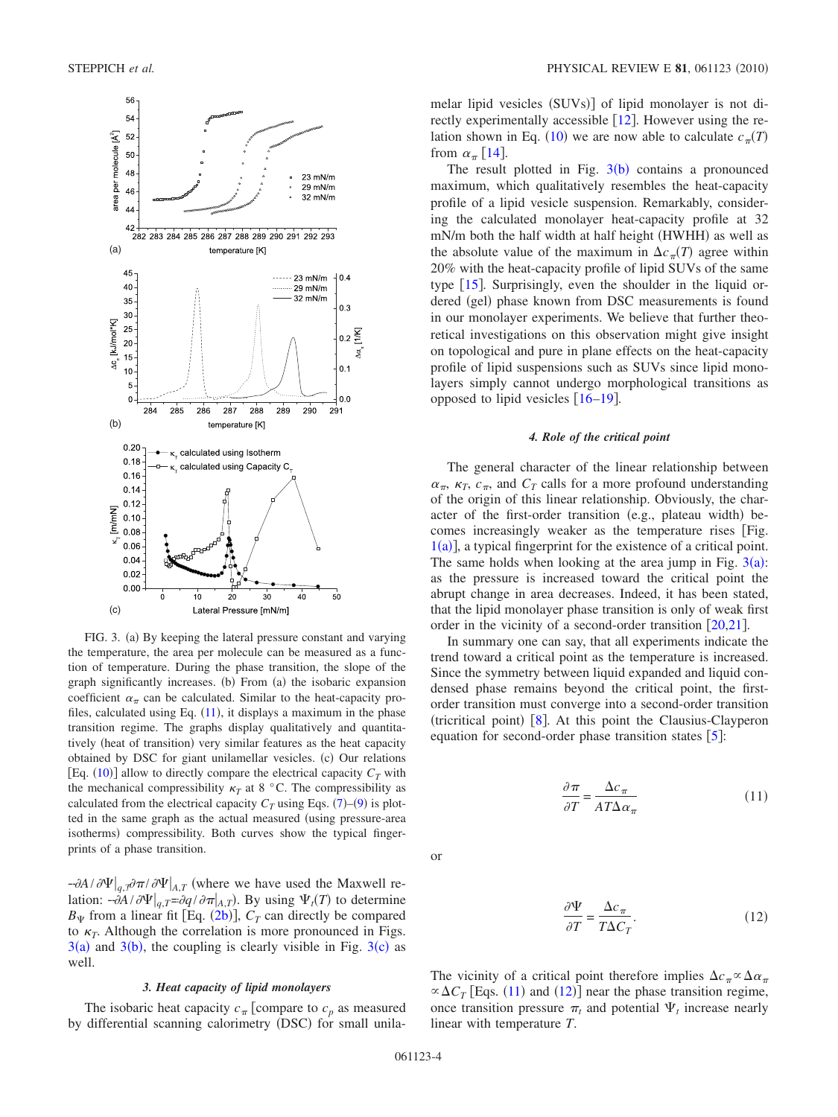<span id="page-3-0"></span>

FIG. 3. (a) By keeping the lateral pressure constant and varying the temperature, the area per molecule can be measured as a function of temperature. During the phase transition, the slope of the graph significantly increases. (b) From (a) the isobaric expansion coefficient  $\alpha_{\pi}$  can be calculated. Similar to the heat-capacity profiles, calculated using Eq.  $(11)$  $(11)$  $(11)$ , it displays a maximum in the phase transition regime. The graphs display qualitatively and quantitatively (heat of transition) very similar features as the heat capacity obtained by DSC for giant unilamellar vesicles. (c) Our relations [Eq.  $(10)$  $(10)$  $(10)$ ] allow to directly compare the electrical capacity  $C_T$  with the mechanical compressibility  $\kappa_T$  at 8 °C. The compressibility as calculated from the electrical capacity  $C_T$  using Eqs. ([7](#page-2-6))–([9](#page-2-9)) is plotted in the same graph as the actual measured (using pressure-area isotherms) compressibility. Both curves show the typical fingerprints of a phase transition.

 $-\frac{\partial A}{\partial \Psi}\Big|_{q,T} \frac{\partial \Psi}{\partial n}$  (where we have used the Maxwell relation:  $-\frac{\partial A}{\partial \Psi}\Big|_{q,T} = \frac{\partial q}{\partial \pi}\Big|_{A,T}$ . By using  $\Psi_t(T)$  to determine  $B_{\Psi}$  from a linear fit [Eq. ([2b](#page-2-8))],  $C_T$  can directly be compared to  $\kappa_T$ . Although the correlation is more pronounced in Figs.  $3(a)$  $3(a)$  and  $3(b)$ , the coupling is clearly visible in Fig.  $3(c)$  as well.

#### *3. Heat capacity of lipid monolayers*

The isobaric heat capacity  $c_{\pi}$  [compare to  $c_p$  as measured by differential scanning calorimetry (DSC) for small unila-

melar lipid vesicles (SUVs)] of lipid monolayer is not directly experimentally accessible  $\lceil 12 \rceil$  $\lceil 12 \rceil$  $\lceil 12 \rceil$ . However using the re-lation shown in Eq. ([10](#page-2-5)) we are now able to calculate  $c_{\pi}(T)$ from  $\alpha_{\pi}$  [[14](#page-4-12)].

The result plotted in Fig.  $3(b)$  $3(b)$  contains a pronounced maximum, which qualitatively resembles the heat-capacity profile of a lipid vesicle suspension. Remarkably, considering the calculated monolayer heat-capacity profile at 32 mN/m both the half width at half height (HWHH) as well as the absolute value of the maximum in  $\Delta c_{\pi}(T)$  agree within 20% with the heat-capacity profile of lipid SUVs of the same type  $[15]$  $[15]$  $[15]$ . Surprisingly, even the shoulder in the liquid ordered (gel) phase known from DSC measurements is found in our monolayer experiments. We believe that further theoretical investigations on this observation might give insight on topological and pure in plane effects on the heat-capacity profile of lipid suspensions such as SUVs since lipid monolayers simply cannot undergo morphological transitions as opposed to lipid vesicles  $[16–19]$  $[16–19]$  $[16–19]$  $[16–19]$ .

#### *4. Role of the critical point*

The general character of the linear relationship between  $\alpha_{\pi}$ ,  $\kappa_T$ ,  $c_{\pi}$ , and  $C_T$  calls for a more profound understanding of the origin of this linear relationship. Obviously, the character of the first-order transition (e.g., plateau width) becomes increasingly weaker as the temperature rises Fig.  $1(a)$  $1(a)$ ], a typical fingerprint for the existence of a critical point. The same holds when looking at the area jump in Fig.  $3(a)$  $3(a)$ : as the pressure is increased toward the critical point the abrupt change in area decreases. Indeed, it has been stated, that the lipid monolayer phase transition is only of weak first order in the vicinity of a second-order transition  $\lceil 20, 21 \rceil$  $\lceil 20, 21 \rceil$  $\lceil 20, 21 \rceil$ .

In summary one can say, that all experiments indicate the trend toward a critical point as the temperature is increased. Since the symmetry between liquid expanded and liquid condensed phase remains beyond the critical point, the firstorder transition must converge into a second-order transition (tricritical point) [[8](#page-4-6)]. At this point the Clausius-Clayperon equation for second-order phase transition states  $\lceil 5 \rceil$  $\lceil 5 \rceil$  $\lceil 5 \rceil$ :

$$
\frac{\partial \pi}{\partial T} = \frac{\Delta c_{\pi}}{A T \Delta \alpha_{\pi}}\tag{11}
$$

<span id="page-3-2"></span><span id="page-3-1"></span>or

$$
\frac{\partial \Psi}{\partial T} = \frac{\Delta c_{\pi}}{T \Delta C_T}.\tag{12}
$$

The vicinity of a critical point therefore implies  $\Delta c_{\pi} \propto \Delta \alpha_{\pi}$  $\propto \Delta C_T$  [Eqs. ([11](#page-3-1)) and ([12](#page-3-2))] near the phase transition regime, once transition pressure  $\pi_t$  and potential  $\Psi_t$  increase nearly linear with temperature *T*.